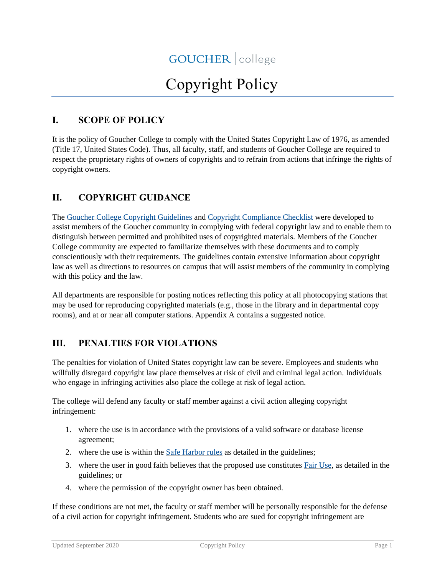# Copyright Policy

#### **I. SCOPE OF POLICY**

It is the policy of Goucher College to comply with the United States Copyright Law of 1976, as amended (Title 17, United States Code). Thus, all faculty, staff, and students of Goucher College are required to respect the proprietary rights of owners of copyrights and to refrain from actions that infringe the rights of copyright owners.

#### **II. COPYRIGHT GUIDANCE**

The [Goucher College Copyright Guidelines](https://www.goucher.edu/policies/copyright-policy/copyright-guidelines/) and [Copyright Compliance Checklist](https://www.goucher.edu/policies/copyright-policy/copyright-compliance-checklist) were developed to assist members of the Goucher community in complying with federal copyright law and to enable them to distinguish between permitted and prohibited uses of copyrighted materials. Members of the Goucher College community are expected to familiarize themselves with these documents and to comply conscientiously with their requirements. The guidelines contain extensive information about copyright law as well as directions to resources on campus that will assist members of the community in complying with this policy and the law.

All departments are responsible for posting notices reflecting this policy at all photocopying stations that may be used for reproducing copyrighted materials (e.g., those in the library and in departmental copy rooms), and at or near all computer stations. Appendix A contains a suggested notice.

#### **III. PENALTIES FOR VIOLATIONS**

The penalties for violation of United States copyright law can be severe. Employees and students who willfully disregard copyright law place themselves at risk of civil and criminal legal action. Individuals who engage in infringing activities also place the college at risk of legal action.

The college will defend any faculty or staff member against a civil action alleging copyright infringement:

- 1. where the use is in accordance with the provisions of a valid software or database license agreement;
- 2. where the use is within the [Safe Harbor rules](https://www.goucher.edu/policies/copyright-policy/copyright-guidelines/when-may-copyrighted-materials-be-used-without-permission/safe-harbor-rules/) as detailed in the guidelines;
- 3. where the user in good faith believes that the proposed use constitutes [Fair Use,](https://www.goucher.edu/policies/copyright-policy/copyright-guidelines/when-may-copyrighted-materials-be-used-without-permission/the-fair-use-doctrine/) as detailed in the guidelines; or
- 4. where the permission of the copyright owner has been obtained.

If these conditions are not met, the faculty or staff member will be personally responsible for the defense of a civil action for copyright infringement. Students who are sued for copyright infringement are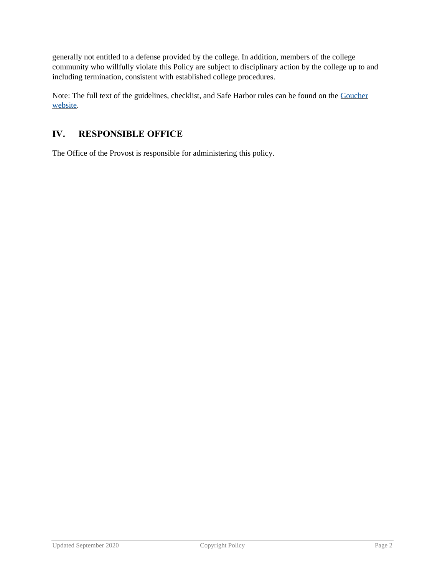generally not entitled to a defense provided by the college. In addition, members of the college community who willfully violate this Policy are subject to disciplinary action by the college up to and including termination, consistent with established college procedures.

Note: The full text of the guidelines, checklist, and Safe Harbor rules can be found on the [Goucher](http://www.goucher.edu/legal-counsel/all-policies-and-procedures-a-z/copyright-policy)  [website.](http://www.goucher.edu/legal-counsel/all-policies-and-procedures-a-z/copyright-policy)

#### **IV. RESPONSIBLE OFFICE**

The Office of the Provost is responsible for administering this policy.